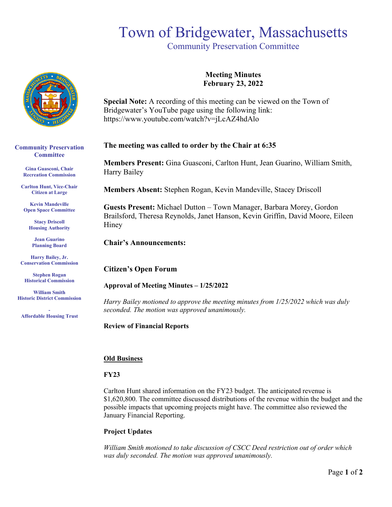# Town of Bridgewater, Massachusetts

Community Preservation Committee



**Community Preservation Committee** 

> **Gina Guasconi, Chair Recreation Commission**

**Carlton Hunt, Vice-Chair Citizen at Large**

**Kevin Mandeville Open Space Committee**

**Stacy Driscoll Housing Authority**

**Jean Guarino Planning Board**

**Harry Bailey, Jr. Conservation Commission** 

**Stephen Rogan Historical Commission**

**William Smith Historic District Commission**

**- Affordable Housing Trust**

**Meeting Minutes February 23, 2022**

**Special Note:** A recording of this meeting can be viewed on the Town of Bridgewater's YouTube page using the following link: https://www.youtube.com/watch?v=jLcAZ4hdAlo

## **The meeting was called to order by the Chair at 6:35**

**Members Present:** Gina Guasconi, Carlton Hunt, Jean Guarino, William Smith, Harry Bailey

**Members Absent:** Stephen Rogan, Kevin Mandeville, Stacey Driscoll

**Guests Present:** Michael Dutton – Town Manager, Barbara Morey, Gordon Brailsford, Theresa Reynolds, Janet Hanson, Kevin Griffin, David Moore, Eileen Hiney

**Chair's Announcements:** 

**Citizen's Open Forum**

**Approval of Meeting Minutes – 1/25/2022**

*Harry Bailey motioned to approve the meeting minutes from 1/25/2022 which was duly seconded. The motion was approved unanimously.* 

**Review of Financial Reports** 

#### **Old Business**

#### **FY23**

Carlton Hunt shared information on the FY23 budget. The anticipated revenue is \$1,620,800. The committee discussed distributions of the revenue within the budget and the possible impacts that upcoming projects might have. The committee also reviewed the January Financial Reporting.

## **Project Updates**

*William Smith motioned to take discussion of CSCC Deed restriction out of order which was duly seconded. The motion was approved unanimously.*